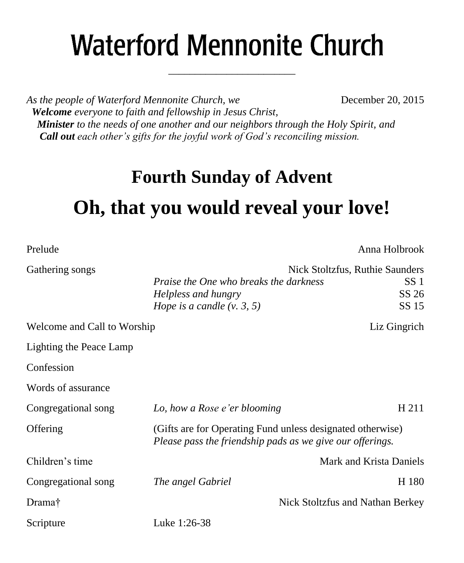# **Waterford Mennonite Church**

\_\_\_\_\_\_\_\_\_\_\_\_\_\_\_\_\_\_\_\_\_\_\_\_

*As the people of Waterford Mennonite Church, we* **December 20, 2015**  *Welcome everyone to faith and fellowship in Jesus Christ, Minister to the needs of one another and our neighbors through the Holy Spirit, and Call out each other's gifts for the joyful work of God's reconciling mission.*

### **Fourth Sunday of Advent**

## **Oh, that you would reveal your love!**

| Prelude                     |                                                                                                                         | Anna Holbrook                    |  |
|-----------------------------|-------------------------------------------------------------------------------------------------------------------------|----------------------------------|--|
| Gathering songs             | Nick Stoltzfus, Ruthie Saunders                                                                                         |                                  |  |
|                             | <i>Praise the One who breaks the darkness</i>                                                                           | SS <sub>1</sub>                  |  |
|                             | Helpless and hungry                                                                                                     | SS 26                            |  |
|                             | Hope is a candle $(v, 3, 5)$                                                                                            | SS 15                            |  |
| Welcome and Call to Worship |                                                                                                                         | Liz Gingrich                     |  |
| Lighting the Peace Lamp     |                                                                                                                         |                                  |  |
| Confession                  |                                                                                                                         |                                  |  |
| Words of assurance          |                                                                                                                         |                                  |  |
| Congregational song         | Lo, how a Rose e'er blooming                                                                                            | H 211                            |  |
| Offering                    | (Gifts are for Operating Fund unless designated otherwise)<br>Please pass the friendship pads as we give our offerings. |                                  |  |
| Children's time             |                                                                                                                         | Mark and Krista Daniels          |  |
| Congregational song         | The angel Gabriel                                                                                                       | H 180                            |  |
| Drama <sup>†</sup>          |                                                                                                                         | Nick Stoltzfus and Nathan Berkey |  |
| Scripture                   | Luke 1:26-38                                                                                                            |                                  |  |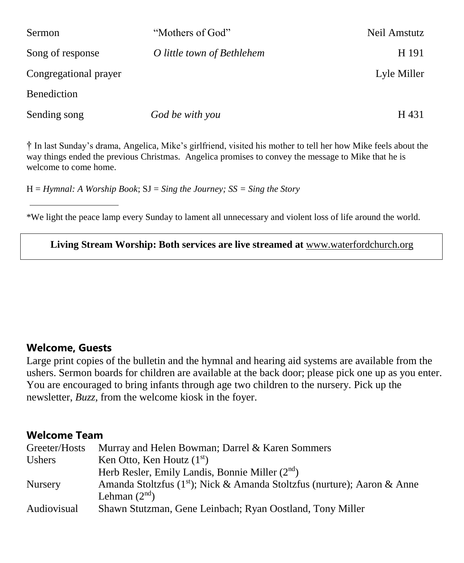| <b>Sermon</b>         | "Mothers of God"           | Neil Amstutz |
|-----------------------|----------------------------|--------------|
| Song of response      | O little town of Bethlehem | H 191        |
| Congregational prayer |                            | Lyle Miller  |
| <b>Benediction</b>    |                            |              |
| Sending song          | God be with you            | H 431        |

† In last Sunday's drama, Angelica, Mike's girlfriend, visited his mother to tell her how Mike feels about the way things ended the previous Christmas. Angelica promises to convey the message to Mike that he is welcome to come home.

H = *Hymnal: A Worship Book*; SJ = *Sing the Journey; SS = Sing the Story*

\*We light the peace lamp every Sunday to lament all unnecessary and violent loss of life around the world.

**Living Stream Worship: Both services are live streamed at** [www.waterfordchurch.org](http://www.waterfordchurch.org/)

#### **Welcome, Guests**

Large print copies of the bulletin and the hymnal and hearing aid systems are available from the ushers. Sermon boards for children are available at the back door; please pick one up as you enter. You are encouraged to bring infants through age two children to the nursery. Pick up the newsletter, *Buzz,* from the welcome kiosk in the foyer.

#### **Welcome Team**

| Greeter/Hosts  | Murray and Helen Bowman; Darrel & Karen Sommers                                      |
|----------------|--------------------------------------------------------------------------------------|
| <b>Ushers</b>  | Ken Otto, Ken Houtz $(1st)$                                                          |
|                | Herb Resler, Emily Landis, Bonnie Miller $(2nd)$                                     |
| <b>Nursery</b> | Amanda Stoltzfus (1 <sup>st</sup> ); Nick & Amanda Stoltzfus (nurture); Aaron & Anne |
|                | Lehman $(2nd)$                                                                       |
| Audiovisual    | Shawn Stutzman, Gene Leinbach; Ryan Oostland, Tony Miller                            |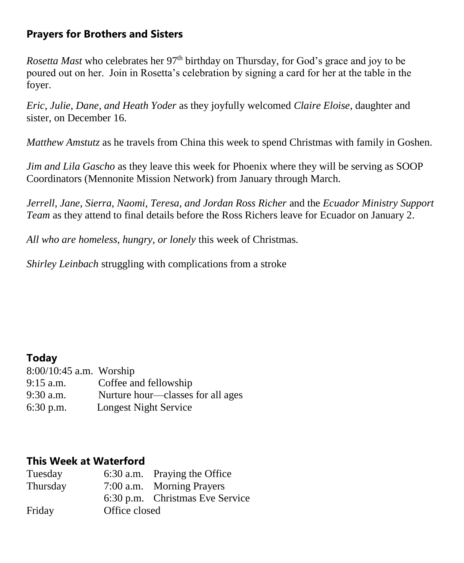#### **Prayers for Brothers and Sisters**

*Rosetta Mast* who celebrates her 97<sup>th</sup> birthday on Thursday, for God's grace and joy to be poured out on her. Join in Rosetta's celebration by signing a card for her at the table in the foyer.

*Eric, Julie, Dane, and Heath Yoder* as they joyfully welcomed *Claire Eloise*, daughter and sister, on December 16.

*Matthew Amstutz* as he travels from China this week to spend Christmas with family in Goshen.

*Jim and Lila Gascho* as they leave this week for Phoenix where they will be serving as SOOP Coordinators (Mennonite Mission Network) from January through March.

*Jerrell, Jane, Sierra, Naomi, Teresa, and Jordan Ross Richer* and the *Ecuador Ministry Support Team* as they attend to final details before the Ross Richers leave for Ecuador on January 2.

*All who are homeless, hungry, or lonely* this week of Christmas.

*Shirley Leinbach* struggling with complications from a stroke

#### **Today**

| 8:00/10:45 a.m. Worship |                                   |
|-------------------------|-----------------------------------|
| $9:15$ a.m.             | Coffee and fellowship             |
| 9:30 a.m.               | Nurture hour—classes for all ages |
| $6:30$ p.m.             | Longest Night Service             |

#### **This Week at Waterford**

| Tuesday  |               | 6:30 a.m. Praying the Office    |
|----------|---------------|---------------------------------|
| Thursday |               | 7:00 a.m. Morning Prayers       |
|          |               | 6:30 p.m. Christmas Eve Service |
| Friday   | Office closed |                                 |